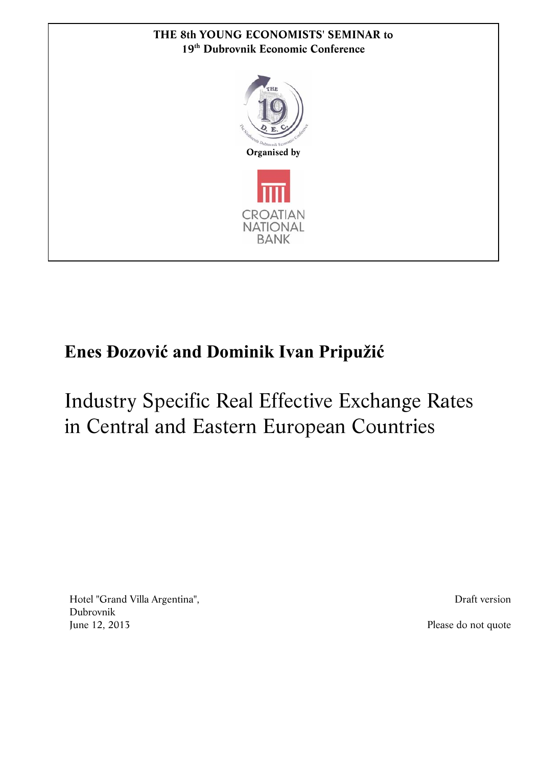

## **Enes Đozović and Dominik Ivan Pripužić**

# Industry Specific Real Effective Exchange Rates in Central and Eastern European Countries

Hotel "Grand Villa Argentina", Dubrovnik June 12, 2013 Please do not quote

Draft version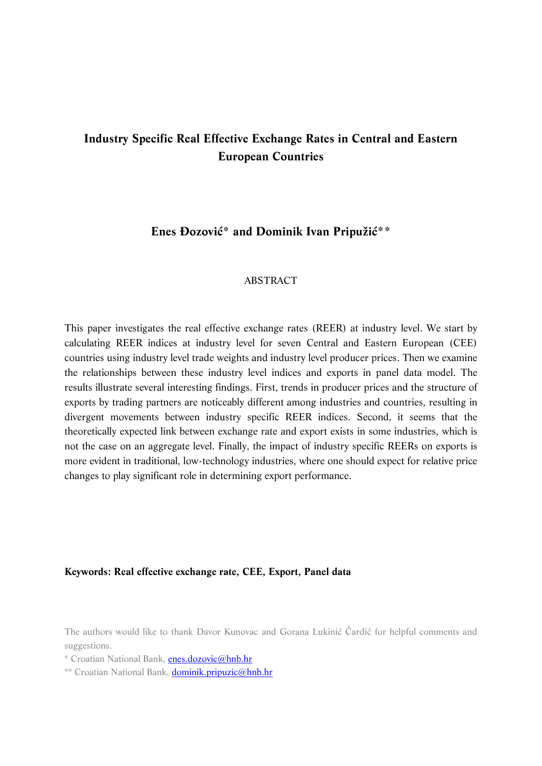## **Industry Specific Real Effective Exchange Rates in Central and Eastern European Countries**

## **Enes Đozović\* and Dominik Ivan Pripužić\*\***

#### ABSTRACT

This paper investigates the real effective exchange rates (REER) at industry level. We start by calculating REER indices at industry level for seven Central and Eastern European (CEE) countries using industry level trade weights and industry level producer prices. Then we examine the relationships between these industry level indices and exports in panel data model. The results illustrate several interesting findings. First, trends in producer prices and the structure of exports by trading partners are noticeably different among industries and countries, resulting in divergent movements between industry specific REER indices. Second, it seems that the theoretically expected link between exchange rate and export exists in some industries, which is not the case on an aggregate level. Finally, the impact of industry specific REERs on exports is more evident in traditional, low-technology industries, where one should expect for relative price changes to play significant role in determining export performance.

#### **Keywords: Real effective exchange rate, CEE, Export, Panel data**

The authors would like to thank Davor Kunovac and Gorana Lukinić Čardić for helpful comments and suggestions.

\* Croatian National Bank, [enes.dozovic@hnb.hr](mailto:enes.dozovic@hnb.hr)

\*\* Croatian National Bank, [dominik.pripuzic@hnb.hr](mailto:dominik.pripuzic@hnb.hr)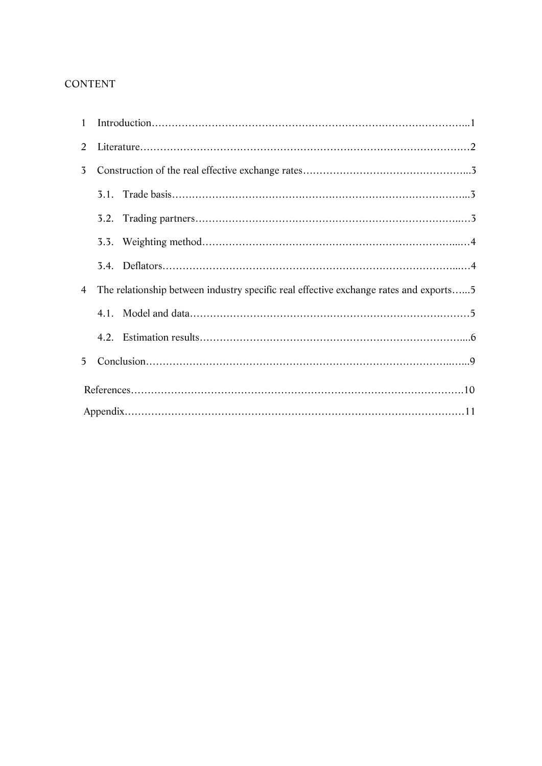## CONTENT

| 2              |  |                                                                                       |  |  |  |  |  |  |  |
|----------------|--|---------------------------------------------------------------------------------------|--|--|--|--|--|--|--|
| 3 <sup>7</sup> |  |                                                                                       |  |  |  |  |  |  |  |
|                |  |                                                                                       |  |  |  |  |  |  |  |
|                |  |                                                                                       |  |  |  |  |  |  |  |
|                |  |                                                                                       |  |  |  |  |  |  |  |
|                |  |                                                                                       |  |  |  |  |  |  |  |
| $\overline{4}$ |  | The relationship between industry specific real effective exchange rates and exports5 |  |  |  |  |  |  |  |
|                |  |                                                                                       |  |  |  |  |  |  |  |
|                |  |                                                                                       |  |  |  |  |  |  |  |
| 5 <sup>5</sup> |  |                                                                                       |  |  |  |  |  |  |  |
|                |  |                                                                                       |  |  |  |  |  |  |  |
|                |  |                                                                                       |  |  |  |  |  |  |  |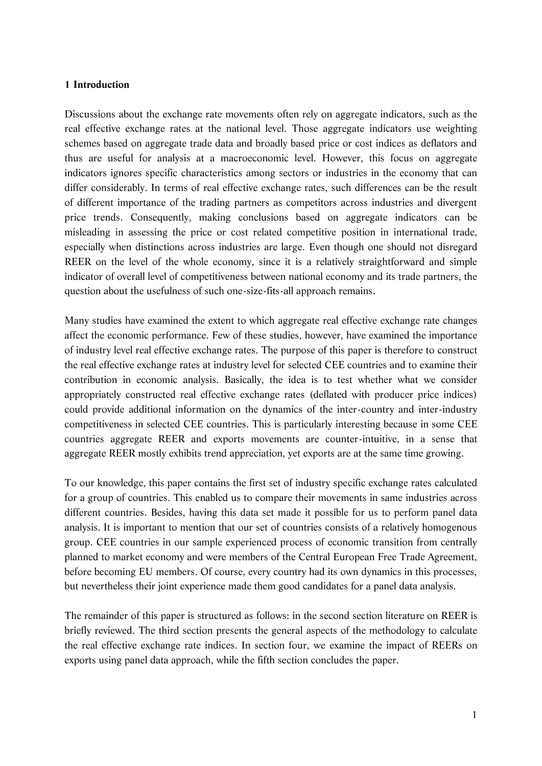#### **1 Introduction**

Discussions about the exchange rate movements often rely on aggregate indicators, such as the real effective exchange rates at the national level. Those aggregate indicators use weighting schemes based on aggregate trade data and broadly based price or cost indices as deflators and thus are useful for analysis at a macroeconomic level. However, this focus on aggregate indicators ignores specific characteristics among sectors or industries in the economy that can differ considerably. In terms of real effective exchange rates, such differences can be the result of different importance of the trading partners as competitors across industries and divergent price trends. Consequently, making conclusions based on aggregate indicators can be misleading in assessing the price or cost related competitive position in international trade, especially when distinctions across industries are large. Even though one should not disregard REER on the level of the whole economy, since it is a relatively straightforward and simple indicator of overall level of competitiveness between national economy and its trade partners, the question about the usefulness of such one-size-fits-all approach remains.

Many studies have examined the extent to which aggregate real effective exchange rate changes affect the economic performance. Few of these studies, however, have examined the importance of industry level real effective exchange rates. The purpose of this paper is therefore to construct the real effective exchange rates at industry level for selected CEE countries and to examine their contribution in economic analysis. Basically, the idea is to test whether what we consider appropriately constructed real effective exchange rates (deflated with producer price indices) could provide additional information on the dynamics of the inter-country and inter-industry competitiveness in selected CEE countries. This is particularly interesting because in some CEE countries aggregate REER and exports movements are counter-intuitive, in a sense that aggregate REER mostly exhibits trend appreciation, yet exports are at the same time growing.

To our knowledge, this paper contains the first set of industry specific exchange rates calculated for a group of countries. This enabled us to compare their movements in same industries across different countries. Besides, having this data set made it possible for us to perform panel data analysis. It is important to mention that our set of countries consists of a relatively homogenous group. CEE countries in our sample experienced process of economic transition from centrally planned to market economy and were members of the Central European Free Trade Agreement, before becoming EU members. Of course, every country had its own dynamics in this processes, but nevertheless their joint experience made them good candidates for a panel data analysis.

The remainder of this paper is structured as follows: in the second section literature on REER is briefly reviewed. The third section presents the general aspects of the methodology to calculate the real effective exchange rate indices. In section four, we examine the impact of REERs on exports using panel data approach, while the fifth section concludes the paper.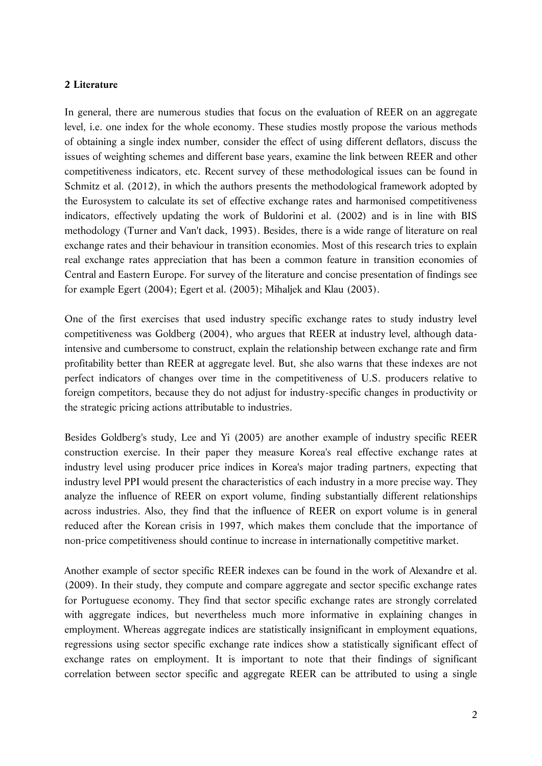#### **2 Literature**

In general, there are numerous studies that focus on the evaluation of REER on an aggregate level, i.e. one index for the whole economy. These studies mostly propose the various methods of obtaining a single index number, consider the effect of using different deflators, discuss the issues of weighting schemes and different base years, examine the link between REER and other competitiveness indicators, etc. Recent survey of these methodological issues can be found in Schmitz et al. (2012), in which the authors presents the methodological framework adopted by the Eurosystem to calculate its set of effective exchange rates and harmonised competitiveness indicators, effectively updating the work of Buldorini et al. (2002) and is in line with BIS methodology (Turner and Van't dack, 1993). Besides, there is a wide range of literature on real exchange rates and their behaviour in transition economies. Most of this research tries to explain real exchange rates appreciation that has been a common feature in transition economies of Central and Eastern Europe. For survey of the literature and concise presentation of findings see for example Egert (2004); Egert et al. (2005); Mihaljek and Klau (2003).

One of the first exercises that used industry specific exchange rates to study industry level competitiveness was Goldberg (2004), who argues that REER at industry level, although dataintensive and cumbersome to construct, explain the relationship between exchange rate and firm profitability better than REER at aggregate level. But, she also warns that these indexes are not perfect indicators of changes over time in the competitiveness of U.S. producers relative to foreign competitors, because they do not adjust for industry-specific changes in productivity or the strategic pricing actions attributable to industries.

Besides Goldberg's study, Lee and Yi (2005) are another example of industry specific REER construction exercise. In their paper they measure Korea's real effective exchange rates at industry level using producer price indices in Korea's major trading partners, expecting that industry level PPI would present the characteristics of each industry in a more precise way. They analyze the influence of REER on export volume, finding substantially different relationships across industries. Also, they find that the influence of REER on export volume is in general reduced after the Korean crisis in 1997, which makes them conclude that the importance of non-price competitiveness should continue to increase in internationally competitive market.

Another example of sector specific REER indexes can be found in the work of Alexandre et al. (2009). In their study, they compute and compare aggregate and sector specific exchange rates for Portuguese economy. They find that sector specific exchange rates are strongly correlated with aggregate indices, but nevertheless much more informative in explaining changes in employment. Whereas aggregate indices are statistically insignificant in employment equations, regressions using sector specific exchange rate indices show a statistically significant effect of exchange rates on employment. It is important to note that their findings of significant correlation between sector specific and aggregate REER can be attributed to using a single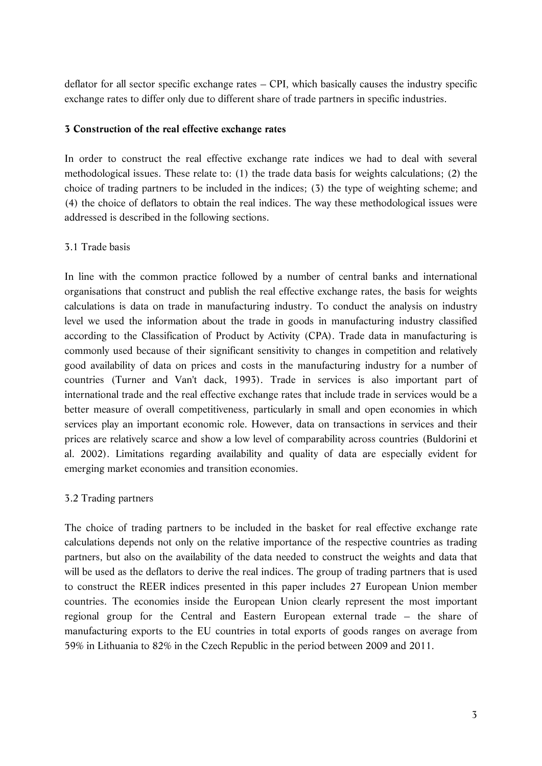deflator for all sector specific exchange rates – CPI, which basically causes the industry specific exchange rates to differ only due to different share of trade partners in specific industries.

#### **3 Construction of the real effective exchange rates**

In order to construct the real effective exchange rate indices we had to deal with several methodological issues. These relate to: (1) the trade data basis for weights calculations; (2) the choice of trading partners to be included in the indices; (3) the type of weighting scheme; and (4) the choice of deflators to obtain the real indices. The way these methodological issues were addressed is described in the following sections.

### 3.1 Trade basis

In line with the common practice followed by a number of central banks and international organisations that construct and publish the real effective exchange rates, the basis for weights calculations is data on trade in manufacturing industry. To conduct the analysis on industry level we used the information about the trade in goods in manufacturing industry classified according to the Classification of Product by Activity (CPA). Trade data in manufacturing is commonly used because of their significant sensitivity to changes in competition and relatively good availability of data on prices and costs in the manufacturing industry for a number of countries (Turner and Van't dack, 1993). Trade in services is also important part of international trade and the real effective exchange rates that include trade in services would be a better measure of overall competitiveness, particularly in small and open economies in which services play an important economic role. However, data on transactions in services and their prices are relatively scarce and show a low level of comparability across countries (Buldorini et al. 2002). Limitations regarding availability and quality of data are especially evident for emerging market economies and transition economies.

## 3.2 Trading partners

The choice of trading partners to be included in the basket for real effective exchange rate calculations depends not only on the relative importance of the respective countries as trading partners, but also on the availability of the data needed to construct the weights and data that will be used as the deflators to derive the real indices. The group of trading partners that is used to construct the REER indices presented in this paper includes 27 European Union member countries. The economies inside the European Union clearly represent the most important regional group for the Central and Eastern European external trade – the share of manufacturing exports to the EU countries in total exports of goods ranges on average from 59% in Lithuania to 82% in the Czech Republic in the period between 2009 and 2011.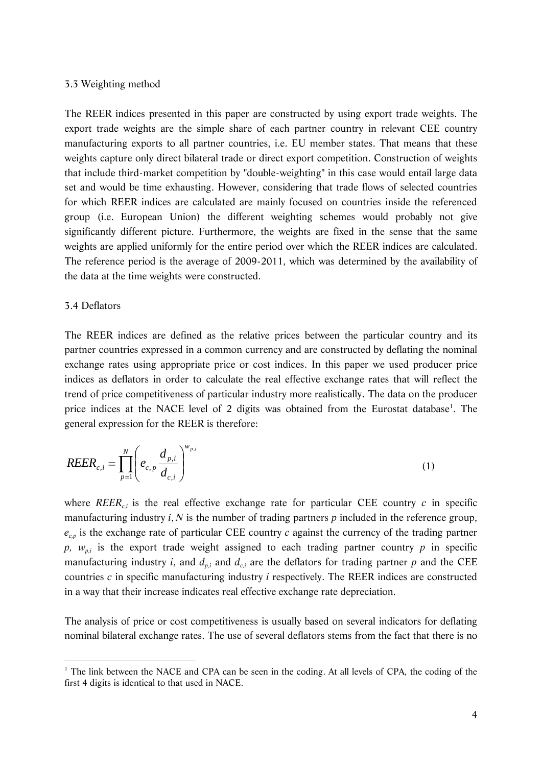#### 3.3 Weighting method

The REER indices presented in this paper are constructed by using export trade weights. The export trade weights are the simple share of each partner country in relevant CEE country manufacturing exports to all partner countries, i.e. EU member states. That means that these weights capture only direct bilateral trade or direct export competition. Construction of weights that include third-market competition by "double-weighting" in this case would entail large data set and would be time exhausting. However, considering that trade flows of selected countries for which REER indices are calculated are mainly focused on countries inside the referenced group (i.e. European Union) the different weighting schemes would probably not give significantly different picture. Furthermore, the weights are fixed in the sense that the same weights are applied uniformly for the entire period over which the REER indices are calculated. The reference period is the average of 2009-2011, which was determined by the availability of the data at the time weights were constructed.

#### 3.4 Deflators

 $\ddot{\phantom{a}}$ 

The REER indices are defined as the relative prices between the particular country and its partner countries expressed in a common currency and are constructed by deflating the nominal exchange rates using appropriate price or cost indices. In this paper we used producer price indices as deflators in order to calculate the real effective exchange rates that will reflect the trend of price competitiveness of particular industry more realistically. The data on the producer price indices at the NACE level of 2 digits was obtained from the Eurostat database<sup>1</sup>. The general expression for the REER is therefore:

$$
REER_{c,i} = \prod_{p=1}^{N} \left( e_{c,p} \frac{d_{p,i}}{d_{c,i}} \right)^{w_{p,i}}
$$
 (1)

where  $REER_{ci}$  is the real effective exchange rate for particular CEE country *c* in specific manufacturing industry *i*, *N* is the number of trading partners *p* included in the reference group, *ec,p* is the exchange rate of particular CEE country *c* against the currency of the trading partner *p, wp,i* is the export trade weight assigned to each trading partner country *p* in specific manufacturing industry *i*, and  $d_{p,i}$  and  $d_{c,i}$  are the deflators for trading partner *p* and the CEE countries *c* in specific manufacturing industry *i* respectively. The REER indices are constructed in a way that their increase indicates real effective exchange rate depreciation.

The analysis of price or cost competitiveness is usually based on several indicators for deflating nominal bilateral exchange rates. The use of several deflators stems from the fact that there is no

<sup>&</sup>lt;sup>1</sup> The link between the NACE and CPA can be seen in the coding. At all levels of CPA, the coding of the first 4 digits is identical to that used in NACE.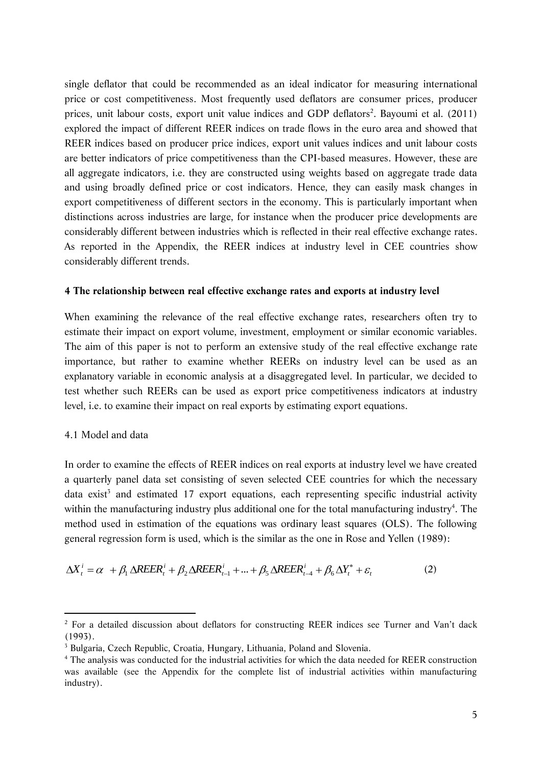single deflator that could be recommended as an ideal indicator for measuring international price or cost competitiveness. Most frequently used deflators are consumer prices, producer prices, unit labour costs, export unit value indices and GDP deflators<sup>2</sup>. Bayoumi et al. (2011) explored the impact of different REER indices on trade flows in the euro area and showed that REER indices based on producer price indices, export unit values indices and unit labour costs are better indicators of price competitiveness than the CPI-based measures. However, these are all aggregate indicators, i.e. they are constructed using weights based on aggregate trade data and using broadly defined price or cost indicators. Hence, they can easily mask changes in export competitiveness of different sectors in the economy. This is particularly important when distinctions across industries are large, for instance when the producer price developments are considerably different between industries which is reflected in their real effective exchange rates. As reported in the Appendix, the REER indices at industry level in CEE countries show considerably different trends.

#### **4 The relationship between real effective exchange rates and exports at industry level**

When examining the relevance of the real effective exchange rates, researchers often try to estimate their impact on export volume, investment, employment or similar economic variables. The aim of this paper is not to perform an extensive study of the real effective exchange rate importance, but rather to examine whether REERs on industry level can be used as an explanatory variable in economic analysis at a disaggregated level. In particular, we decided to test whether such REERs can be used as export price competitiveness indicators at industry level, i.e. to examine their impact on real exports by estimating export equations.

#### 4.1 Model and data

 $\ddot{\phantom{a}}$ 

In order to examine the effects of REER indices on real exports at industry level we have created a quarterly panel data set consisting of seven selected CEE countries for which the necessary data exist<sup>3</sup> and estimated 17 export equations, each representing specific industrial activity within the manufacturing industry plus additional one for the total manufacturing industry<sup>4</sup>. The method used in estimation of the equations was ordinary least squares (OLS). The following general regression form is used, which is the similar as the one in Rose and Yellen (1989):

$$
\Delta X_t^i = \alpha + \beta_1 \Delta R E E R_t^i + \beta_2 \Delta R E E R_{t-1}^i + \dots + \beta_5 \Delta R E E R_{t-4}^i + \beta_6 \Delta Y_t^* + \varepsilon_t
$$
 (2)

<sup>&</sup>lt;sup>2</sup> For a detailed discussion about deflators for constructing REER indices see Turner and Van't dack (1993).

<sup>&</sup>lt;sup>3</sup> Bulgaria, Czech Republic, Croatia, Hungary, Lithuania, Poland and Slovenia.

<sup>4</sup> The analysis was conducted for the industrial activities for which the data needed for REER construction was available (see the Appendix for the complete list of industrial activities within manufacturing industry).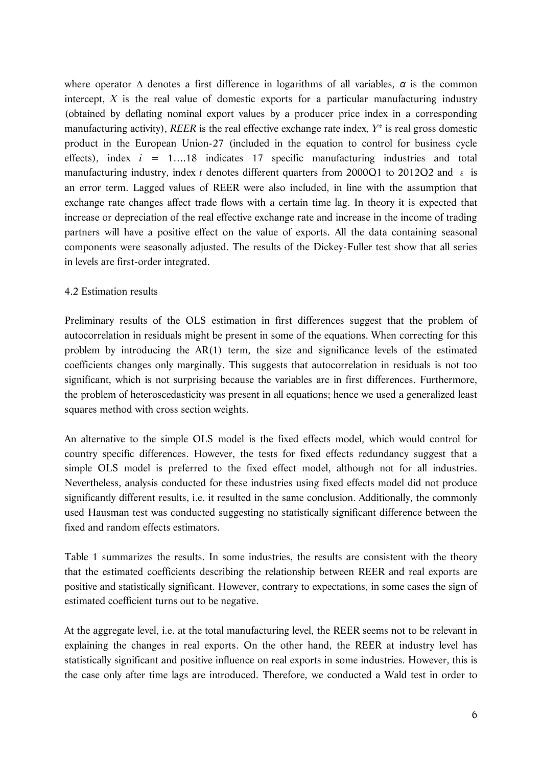where operator *∆* denotes a first difference in logarithms of all variables, *α* is the common intercept, *X* is the real value of domestic exports for a particular manufacturing industry (obtained by deflating nominal export values by a producer price index in a corresponding manufacturing activity), *REER* is the real effective exchange rate index, *Y\** is real gross domestic product in the European Union-27 (included in the equation to control for business cycle effects), index *i* = 1….18 indicates 17 specific manufacturing industries and total manufacturing industry, index *t* denotes different quarters from 2000Q1 to 2012Q2 and ε is an error term. Lagged values of REER were also included, in line with the assumption that exchange rate changes affect trade flows with a certain time lag. In theory it is expected that increase or depreciation of the real effective exchange rate and increase in the income of trading partners will have a positive effect on the value of exports. All the data containing seasonal components were seasonally adjusted. The results of the Dickey-Fuller test show that all series in levels are first-order integrated.

#### 4.2 Estimation results

Preliminary results of the OLS estimation in first differences suggest that the problem of autocorrelation in residuals might be present in some of the equations. When correcting for this problem by introducing the AR(1) term, the size and significance levels of the estimated coefficients changes only marginally. This suggests that autocorrelation in residuals is not too significant, which is not surprising because the variables are in first differences. Furthermore, the problem of heteroscedasticity was present in all equations; hence we used a generalized least squares method with cross section weights.

An alternative to the simple OLS model is the fixed effects model, which would control for country specific differences. However, the tests for fixed effects redundancy suggest that a simple OLS model is preferred to the fixed effect model, although not for all industries. Nevertheless, analysis conducted for these industries using fixed effects model did not produce significantly different results, i.e. it resulted in the same conclusion. Additionally, the commonly used Hausman test was conducted suggesting no statistically significant difference between the fixed and random effects estimators.

Table 1 summarizes the results. In some industries, the results are consistent with the theory that the estimated coefficients describing the relationship between REER and real exports are positive and statistically significant. However, contrary to expectations, in some cases the sign of estimated coefficient turns out to be negative.

At the aggregate level, i.e. at the total manufacturing level, the REER seems not to be relevant in explaining the changes in real exports. On the other hand, the REER at industry level has statistically significant and positive influence on real exports in some industries. However, this is the case only after time lags are introduced. Therefore, we conducted a Wald test in order to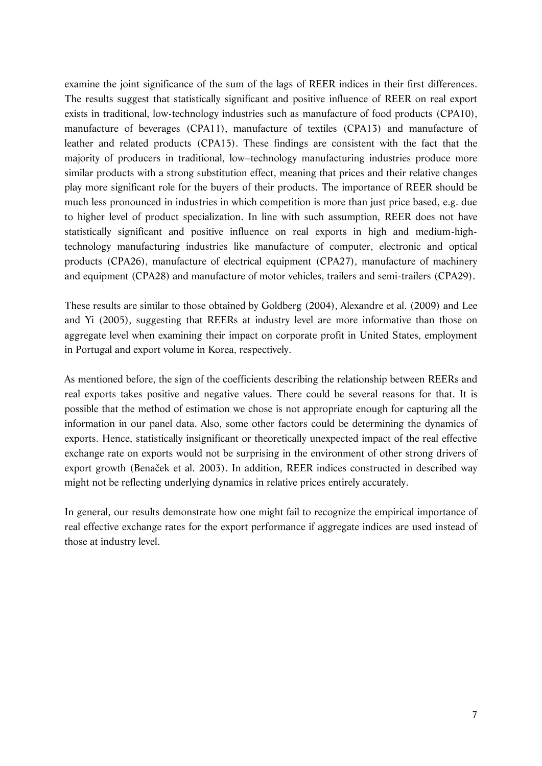examine the joint significance of the sum of the lags of REER indices in their first differences. The results suggest that statistically significant and positive influence of REER on real export exists in traditional, low-technology industries such as manufacture of food products (CPA10), manufacture of beverages (CPA11), manufacture of textiles (CPA13) and manufacture of leather and related products (CPA15). These findings are consistent with the fact that the majority of producers in traditional, low–technology manufacturing industries produce more similar products with a strong substitution effect, meaning that prices and their relative changes play more significant role for the buyers of their products. The importance of REER should be much less pronounced in industries in which competition is more than just price based, e.g. due to higher level of product specialization. In line with such assumption, REER does not have statistically significant and positive influence on real exports in high and medium-hightechnology manufacturing industries like manufacture of computer, electronic and optical products (CPA26), manufacture of electrical equipment (CPA27), manufacture of machinery and equipment (CPA28) and manufacture of motor vehicles, trailers and semi-trailers (CPA29).

These results are similar to those obtained by Goldberg (2004), Alexandre et al. (2009) and Lee and Yi (2005), suggesting that REERs at industry level are more informative than those on aggregate level when examining their impact on corporate profit in United States, employment in Portugal and export volume in Korea, respectively.

As mentioned before, the sign of the coefficients describing the relationship between REERs and real exports takes positive and negative values. There could be several reasons for that. It is possible that the method of estimation we chose is not appropriate enough for capturing all the information in our panel data. Also, some other factors could be determining the dynamics of exports. Hence, statistically insignificant or theoretically unexpected impact of the real effective exchange rate on exports would not be surprising in the environment of other strong drivers of export growth (Benaček et al. 2003). In addition, REER indices constructed in described way might not be reflecting underlying dynamics in relative prices entirely accurately.

In general, our results demonstrate how one might fail to recognize the empirical importance of real effective exchange rates for the export performance if aggregate indices are used instead of those at industry level.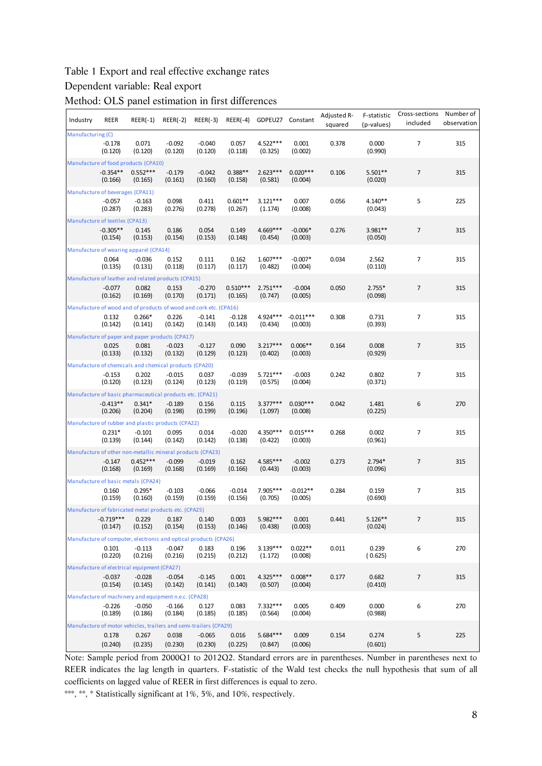#### Table 1 Export and real effective exchange rates

#### Dependent variable: Real export

Method: OLS panel estimation in first differences

| Industry                             | REER                   | $REER(-1)$                                                        | $REER(-2)$          | $REER(-3)$          |                       | REER(-4) GDPEU27      | Constant               | Adjusted R-<br>squared | F-statistic<br>(p-values) | Cross-sections<br>included | Number of<br>observation |  |  |
|--------------------------------------|------------------------|-------------------------------------------------------------------|---------------------|---------------------|-----------------------|-----------------------|------------------------|------------------------|---------------------------|----------------------------|--------------------------|--|--|
| Manufacturing (C)                    |                        |                                                                   |                     |                     |                       |                       |                        |                        |                           |                            |                          |  |  |
|                                      | $-0.178$<br>(0.120)    | 0.071<br>(0.120)                                                  | $-0.092$<br>(0.120) | $-0.040$<br>(0.120) | 0.057<br>(0.118)      | 4.522***<br>(0.325)   | 0.001<br>(0.002)       | 0.378                  | 0.000<br>(0.990)          | $\overline{7}$             | 315                      |  |  |
| Manufacture of food products (CPA10) |                        |                                                                   |                     |                     |                       |                       |                        |                        |                           |                            |                          |  |  |
|                                      | $-0.354**$<br>(0.166)  | $0.552***$<br>(0.165)                                             | $-0.179$<br>(0.161) | $-0.042$<br>(0.160) | $0.388**$<br>(0.158)  | $2.623***$<br>(0.581) | $0.020***$<br>(0.004)  | 0.106                  | $5.501**$<br>(0.020)      | $\overline{7}$             | 315                      |  |  |
| Manufacture of beverages (CPA11)     |                        |                                                                   |                     |                     |                       |                       |                        |                        |                           |                            |                          |  |  |
|                                      | $-0.057$<br>(0.287)    | $-0.163$<br>(0.283)                                               | 0.098<br>(0.276)    | 0.411<br>(0.278)    | $0.601**$<br>(0.267)  | $3.121***$<br>(1.174) | 0.007<br>(0.008)       | 0.056                  | 4.140**<br>(0.043)        | 5                          | 225                      |  |  |
| Manufacture of textiles (CPA13)      |                        |                                                                   |                     |                     |                       |                       |                        |                        |                           |                            |                          |  |  |
|                                      | $-0.305**$<br>(0.154)  | 0.145<br>(0.153)                                                  | 0.186<br>(0.154)    | 0.054<br>(0.153)    | 0.149<br>(0.148)      | 4.669***<br>(0.454)   | $-0.006*$<br>(0.003)   | 0.276                  | 3.981**<br>(0.050)        | $\overline{7}$             | 315                      |  |  |
|                                      |                        | Manufacture of wearing apparel (CPA14)                            |                     |                     |                       |                       |                        |                        |                           |                            |                          |  |  |
|                                      | 0.064<br>(0.135)       | $-0.036$<br>(0.131)                                               | 0.152<br>(0.118)    | 0.111<br>(0.117)    | 0.162<br>(0.117)      | $1.607***$<br>(0.482) | $-0.007*$<br>(0.004)   | 0.034                  | 2.562<br>(0.110)          | $\overline{7}$             | 315                      |  |  |
|                                      |                        | Manufacture of leather and related products (CPA15)               |                     |                     |                       |                       |                        |                        |                           |                            |                          |  |  |
|                                      | $-0.077$<br>(0.162)    | 0.082<br>(0.169)                                                  | 0.153<br>(0.170)    | $-0.270$<br>(0.171) | $0.510***$<br>(0.165) | $2.751***$<br>(0.747) | $-0.004$<br>(0.005)    | 0.050                  | $2.755*$<br>(0.098)       | $\overline{7}$             | 315                      |  |  |
|                                      |                        | Manufacture of wood and of products of wood and cork etc. (CPA16) |                     |                     |                       |                       |                        |                        |                           |                            |                          |  |  |
|                                      | 0.132<br>(0.142)       | $0.266*$<br>(0.141)                                               | 0.226<br>(0.142)    | $-0.141$<br>(0.143) | $-0.128$<br>(0.143)   | 4.924***<br>(0.434)   | $-0.011***$<br>(0.003) | 0.308                  | 0.731<br>(0.393)          | $\overline{7}$             | 315                      |  |  |
|                                      |                        | Manufacture of paper and paper products (CPA17)                   |                     |                     |                       |                       |                        |                        |                           |                            |                          |  |  |
|                                      | 0.025<br>(0.133)       | 0.081<br>(0.132)                                                  | $-0.023$<br>(0.132) | $-0.127$<br>(0.129) | 0.090<br>(0.123)      | $3.217***$<br>(0.402) | $0.006**$<br>(0.003)   | 0.164                  | 0.008<br>(0.929)          | $\overline{7}$             | 315                      |  |  |
|                                      |                        | Manufacture of chemicals and chemical products (CPA20)            |                     |                     |                       |                       |                        |                        |                           |                            |                          |  |  |
|                                      | $-0.153$<br>(0.120)    | 0.202<br>(0.123)                                                  | $-0.015$<br>(0.124) | 0.037<br>(0.123)    | $-0.039$<br>(0.119)   | $5.721***$<br>(0.575) | $-0.003$<br>(0.004)    | 0.242                  | 0.802<br>(0.371)          | $\overline{7}$             | 315                      |  |  |
|                                      |                        | Manufacture of basic pharmaceutical products etc. (CPA21)         |                     |                     |                       |                       |                        |                        |                           |                            |                          |  |  |
|                                      | $-0.413**$<br>(0.206)  | $0.341*$<br>(0.204)                                               | $-0.189$<br>(0.198) | 0.156<br>(0.199)    | 0.115<br>(0.196)      | $3.377***$<br>(1.097) | $0.030***$<br>(0.008)  | 0.042                  | 1.481<br>(0.225)          | 6                          | 270                      |  |  |
|                                      |                        | Manufacture of rubber and plastic products (CPA22)                |                     |                     |                       |                       |                        |                        |                           |                            |                          |  |  |
|                                      | $0.231*$<br>(0.139)    | $-0.101$<br>(0.144)                                               | 0.095<br>(0.142)    | 0.014<br>(0.142)    | $-0.020$<br>(0.138)   | 4.350***<br>(0.422)   | $0.015***$<br>(0.003)  | 0.268                  | 0.002<br>(0.961)          | 7                          | 315                      |  |  |
|                                      |                        | Manufacture of other non-metallic mineral products (CPA23)        |                     |                     |                       |                       |                        |                        |                           |                            |                          |  |  |
|                                      | $-0.147$<br>(0.168)    | $0.452***$<br>(0.169)                                             | $-0.099$<br>(0.168) | $-0.019$<br>(0.169) | 0.162<br>(0.166)      | 4.585***<br>(0.443)   | $-0.002$<br>(0.003)    | 0.273                  | $2.794*$<br>(0.096)       | $\overline{7}$             | 315                      |  |  |
|                                      |                        | Manufacture of basic metals (CPA24)                               |                     |                     |                       |                       |                        |                        |                           |                            |                          |  |  |
|                                      | 0.160<br>(0.159)       | $0.295*$<br>(0.160)                                               | $-0.103$<br>(0.159) | $-0.066$<br>(0.159) | $-0.014$<br>(0.156)   | 7.905***<br>(0.705)   | $-0.012**$<br>(0.005)  | 0.284                  | 0.159<br>(0.690)          | 7                          | 315                      |  |  |
|                                      |                        | Manufacture of fabricated metal products etc. (CPA25)             |                     |                     |                       |                       |                        |                        |                           |                            |                          |  |  |
|                                      | $-0.719***$<br>(0.147) | 0.229<br>(0.152)                                                  | 0.187<br>(0.154)    | 0.140<br>(0.153)    | 0.003<br>(0.146)      | $5.982***$<br>(0.438) | 0.001<br>(0.003)       | 0.441                  | $5.126**$<br>(0.024)      | $\overline{7}$             | 315                      |  |  |
|                                      |                        | Manufacture of computer, electronic and optical products (CPA26)  |                     |                     |                       |                       |                        |                        |                           |                            |                          |  |  |
|                                      | 0.101<br>(0.220)       | $-0.113$<br>(0.216)                                               | $-0.047$<br>(0.216) | 0.183<br>(0.215)    | 0.196<br>(0.212)      | $3.139***$<br>(1.172) | $0.022**$<br>(0.008)   | 0.011                  | 0.239<br>(0.625)          | 6                          | 270                      |  |  |
|                                      |                        | Manufacture of electrical equipment (CPA27)                       |                     |                     |                       |                       |                        |                        |                           |                            |                          |  |  |
|                                      | $-0.037$<br>(0.154)    | $-0.028$<br>(0.145)                                               | $-0.054$<br>(0.142) | $-0.145$<br>(0.141) | 0.001<br>(0.140)      | $4.325***$<br>(0.507) | $0.008**$<br>(0.004)   | 0.177                  | 0.682<br>(0.410)          | $\overline{7}$             | 315                      |  |  |
|                                      |                        | Manufacture of machinery and equipment n.e.c. (CPA28)             |                     |                     |                       |                       |                        |                        |                           |                            |                          |  |  |
|                                      | $-0.226$<br>(0.189)    | $-0.050$<br>(0.186)                                               | $-0.166$<br>(0.184) | 0.127<br>(0.185)    | 0.083<br>(0.185)      | 7.332***<br>(0.564)   | 0.005<br>(0.004)       | 0.409                  | 0.000<br>(0.988)          | 6                          | 270                      |  |  |
|                                      |                        | Manufacture of motor vehicles, trailers and semi-trailers (CPA29) |                     |                     |                       |                       |                        |                        |                           |                            |                          |  |  |
|                                      | 0.178<br>(0.240)       | 0.267<br>(0.235)                                                  | 0.038<br>(0.230)    | $-0.065$<br>(0.230) | 0.016<br>(0.225)      | 5.684***<br>(0.847)   | 0.009<br>(0.006)       | 0.154                  | 0.274<br>(0.601)          | 5                          | 225                      |  |  |

Note: Sample period from 2000Q1 to 2012Q2. Standard errors are in parentheses. Number in parentheses next to REER indicates the lag length in quarters. F-statistic of the Wald test checks the null hypothesis that sum of all coefficients on lagged value of REER in first differences is equal to zero.

\*\*\*, \*\*, \* Statistically significant at 1%, 5%, and 10%, respectively.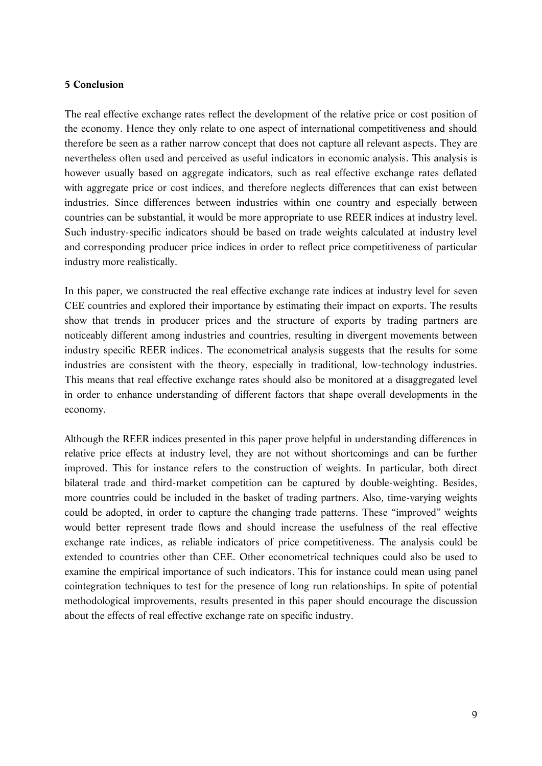#### **5 Conclusion**

The real effective exchange rates reflect the development of the relative price or cost position of the economy. Hence they only relate to one aspect of international competitiveness and should therefore be seen as a rather narrow concept that does not capture all relevant aspects. They are nevertheless often used and perceived as useful indicators in economic analysis. This analysis is however usually based on aggregate indicators, such as real effective exchange rates deflated with aggregate price or cost indices, and therefore neglects differences that can exist between industries. Since differences between industries within one country and especially between countries can be substantial, it would be more appropriate to use REER indices at industry level. Such industry-specific indicators should be based on trade weights calculated at industry level and corresponding producer price indices in order to reflect price competitiveness of particular industry more realistically.

In this paper, we constructed the real effective exchange rate indices at industry level for seven CEE countries and explored their importance by estimating their impact on exports. The results show that trends in producer prices and the structure of exports by trading partners are noticeably different among industries and countries, resulting in divergent movements between industry specific REER indices. The econometrical analysis suggests that the results for some industries are consistent with the theory, especially in traditional, low-technology industries. This means that real effective exchange rates should also be monitored at a disaggregated level in order to enhance understanding of different factors that shape overall developments in the economy.

Although the REER indices presented in this paper prove helpful in understanding differences in relative price effects at industry level, they are not without shortcomings and can be further improved. This for instance refers to the construction of weights. In particular, both direct bilateral trade and third-market competition can be captured by double-weighting. Besides, more countries could be included in the basket of trading partners. Also, time-varying weights could be adopted, in order to capture the changing trade patterns. These "improved" weights would better represent trade flows and should increase the usefulness of the real effective exchange rate indices, as reliable indicators of price competitiveness. The analysis could be extended to countries other than CEE. Other econometrical techniques could also be used to examine the empirical importance of such indicators. This for instance could mean using panel cointegration techniques to test for the presence of long run relationships. In spite of potential methodological improvements, results presented in this paper should encourage the discussion about the effects of real effective exchange rate on specific industry.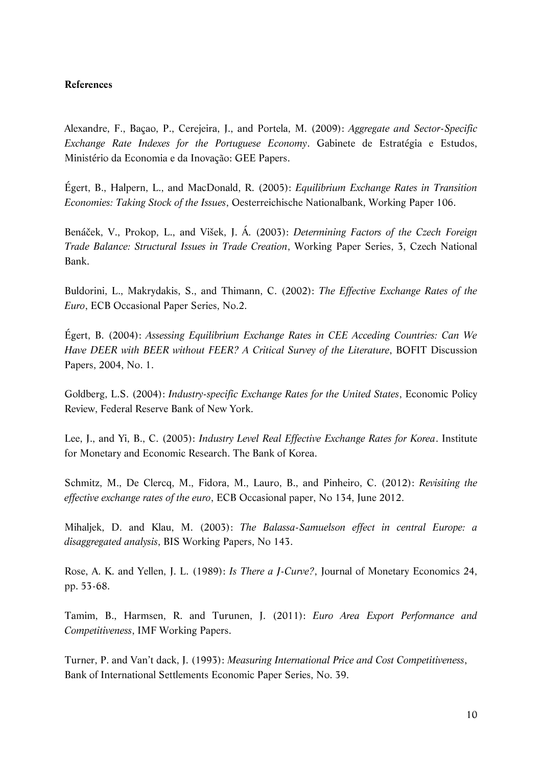#### **References**

Alexandre, F., Baçao, P., Cerejeira, J., and Portela, M. (2009): *Aggregate and Sector-Specific Exchange Rate Indexes for the Portuguese Economy*. Gabinete de Estratégia e Estudos, Ministério da Economia e da Inovação: GEE Papers.

Égert, B., Halpern, L., and MacDonald, R. (2005): *Equilibrium Exchange Rates in Transition Economies: Taking Stock of the Issues*, Oesterreichische Nationalbank, Working Paper 106.

Benáček, V., Prokop, L., and Višek, J. Á. (2003): *Determining Factors of the Czech Foreign Trade Balance: Structural Issues in Trade Creation*, Working Paper Series, 3, Czech National Bank.

Buldorini, L., Makrydakis, S., and Thimann, C. (2002): *The Effective Exchange Rates of the Euro*, ECB Occasional Paper Series, No.2.

Égert, B. (2004): *Assessing Equilibrium Exchange Rates in CEE Acceding Countries: Can We Have DEER with BEER without FEER? A Critical Survey of the Literature*, BOFIT Discussion Papers, 2004, No. 1.

Goldberg, L.S. (2004): *Industry-specific Exchange Rates for the United States*, Economic Policy Review, Federal Reserve Bank of New York.

Lee, J., and Yi, B., C. (2005): *Industry Level Real Effective Exchange Rates for Korea*. Institute for Monetary and Economic Research. The Bank of Korea.

Schmitz, M., De Clercq, M., Fidora, M., Lauro, B., and Pinheiro, C. (2012): *Revisiting the effective exchange rates of the euro*, ECB Occasional paper, No 134, June 2012.

Mihaljek, D. and Klau, M. (2003): *The Balassa-Samuelson effect in central Europe: a disaggregated analysis*, BIS Working Papers, No 143.

Rose, A. K. and Yellen, J. L. (1989): *Is There a J-Curve?*, Journal of Monetary Economics 24, pp. 53-68.

Tamim, B., Harmsen, R. and Turunen, J. (2011): *Euro Area Export Performance and Competitiveness*, IMF Working Papers.

Turner, P. and Van't dack, J. (1993): *Measuring International Price and Cost Competitiveness*, Bank of International Settlements Economic Paper Series, No. 39.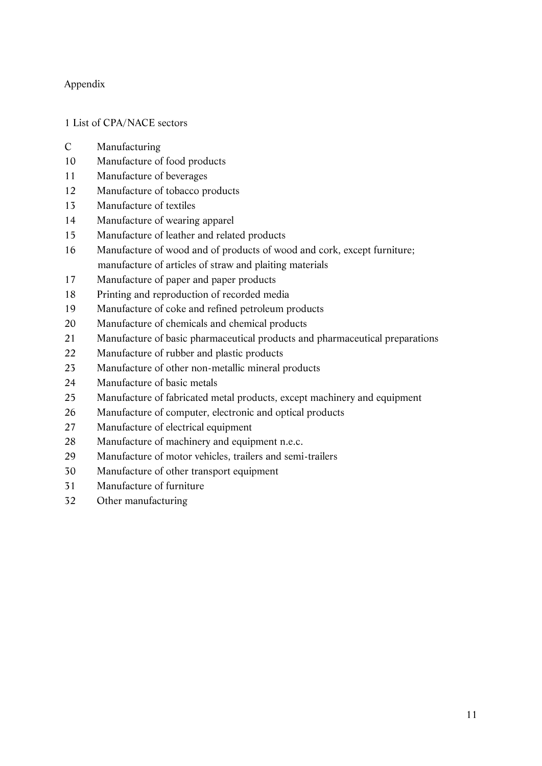## Appendix

## List of CPA/NACE sectors

- C Manufacturing
- Manufacture of food products
- Manufacture of beverages
- Manufacture of tobacco products
- Manufacture of textiles
- Manufacture of wearing apparel
- Manufacture of leather and related products
- Manufacture of wood and of products of wood and cork, except furniture; manufacture of articles of straw and plaiting materials
- Manufacture of paper and paper products
- Printing and reproduction of recorded media
- Manufacture of coke and refined petroleum products
- Manufacture of chemicals and chemical products
- Manufacture of basic pharmaceutical products and pharmaceutical preparations
- Manufacture of rubber and plastic products
- Manufacture of other non-metallic mineral products
- Manufacture of basic metals
- Manufacture of fabricated metal products, except machinery and equipment
- Manufacture of computer, electronic and optical products
- Manufacture of electrical equipment
- Manufacture of machinery and equipment n.e.c.
- Manufacture of motor vehicles, trailers and semi-trailers
- Manufacture of other transport equipment
- Manufacture of furniture
- Other manufacturing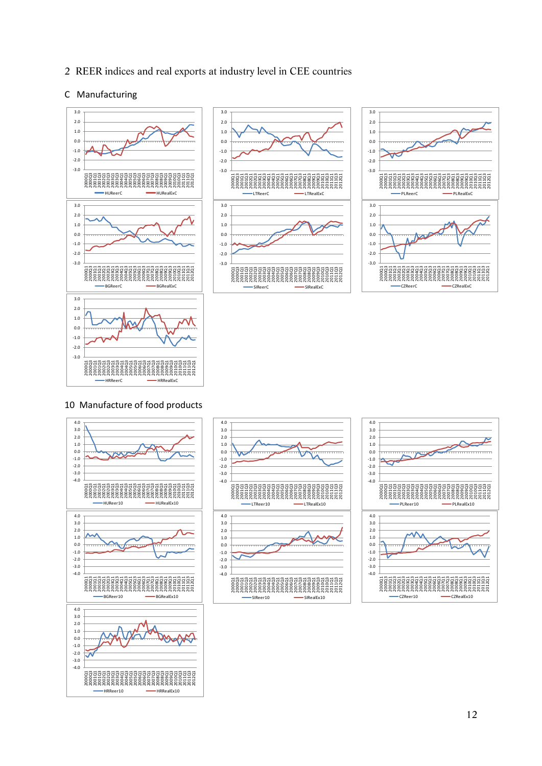2 REER indices and real exports at industry level in CEE countries

#### C Manufacturing







#### 10 Manufacture of food products





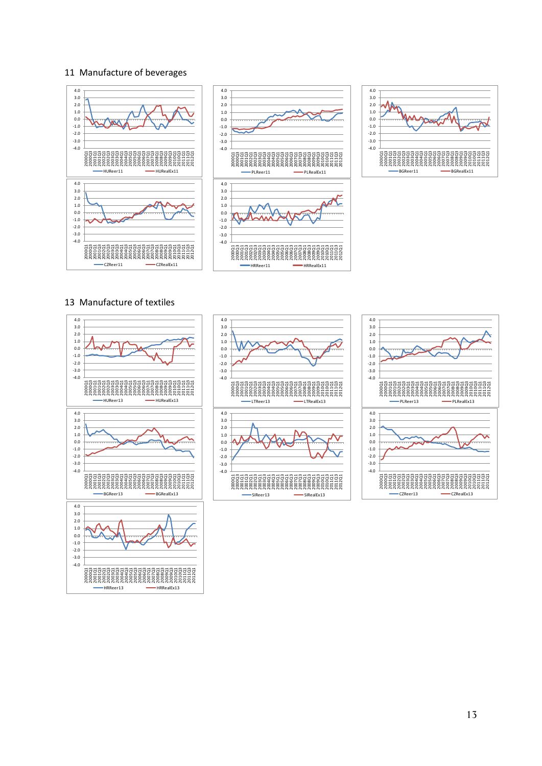#### 11 Manufacture of beverages





#### 13 Manufacture of textiles





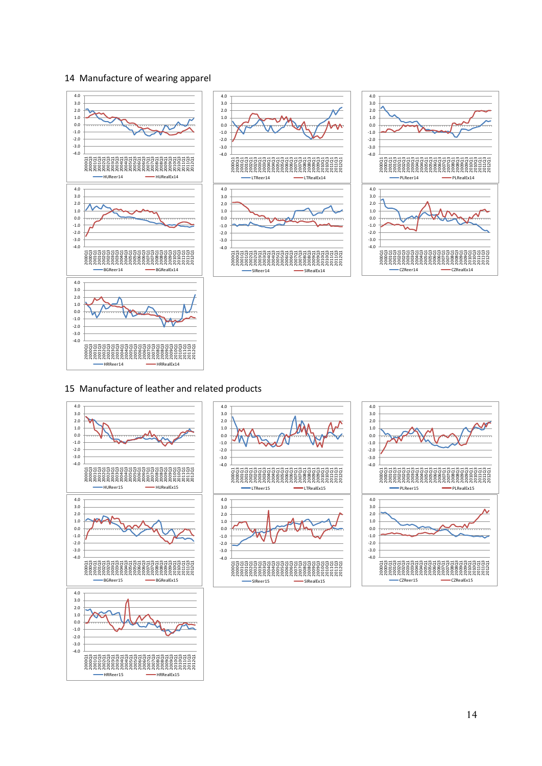#### 14 Manufacture of wearing apparel



#### 15 Manufacture of leather and related products





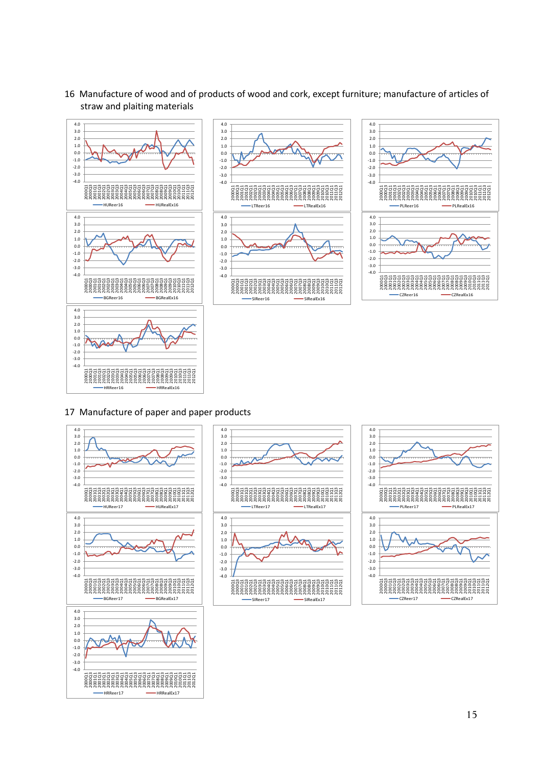

16 Manufacture of wood and of products of wood and cork, except furniture; manufacture of articles of straw and plaiting materials

4.0





#### 17 Manufacture of paper and paper products





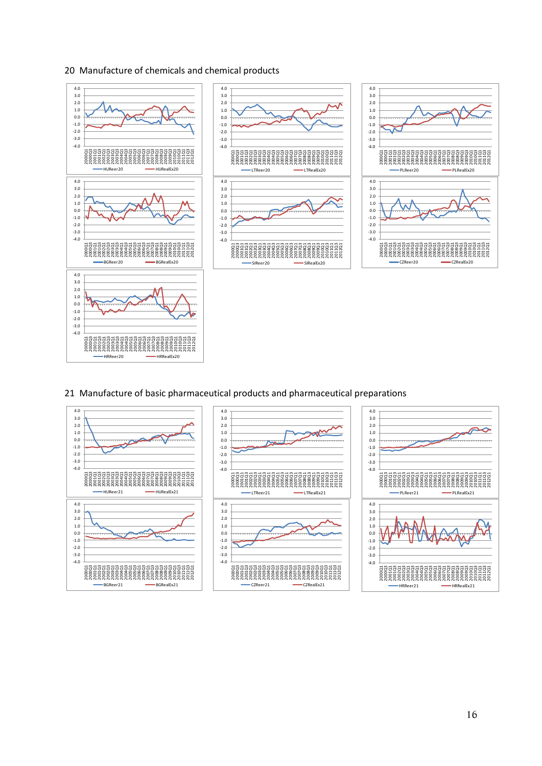#### 20 Manufacture of chemicals and chemical products



#### 21 Manufacture of basic pharmaceutical products and pharmaceutical preparations

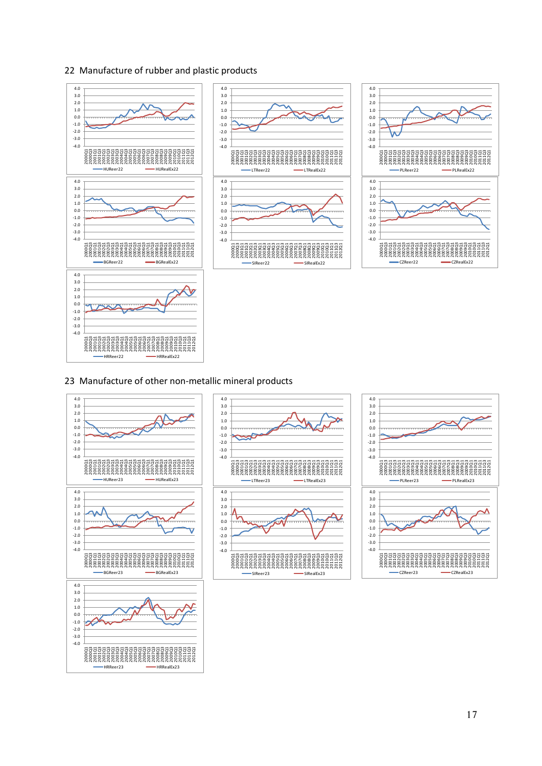#### 22 Manufacture of rubber and plastic products



#### 23 Manufacture of other non-metallic mineral products

HRReer23 HRRealEx23

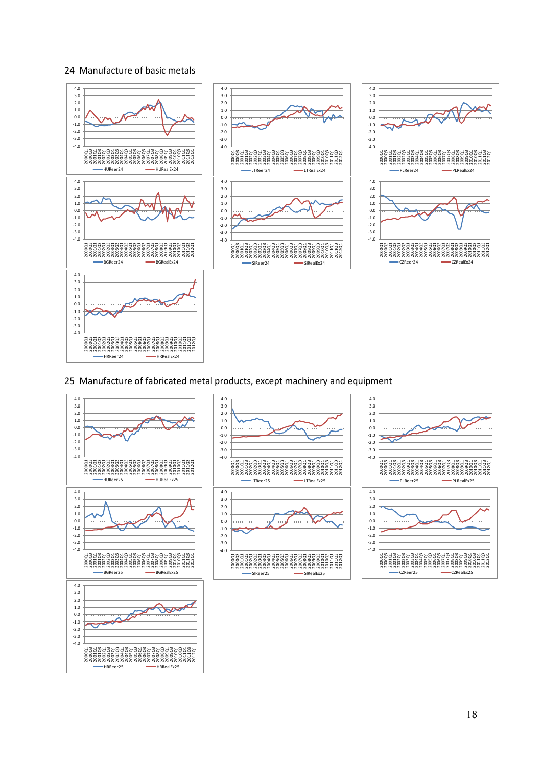#### 24 Manufacture of basic metals



#### 25 Manufacture of fabricated metal products, except machinery and equipment

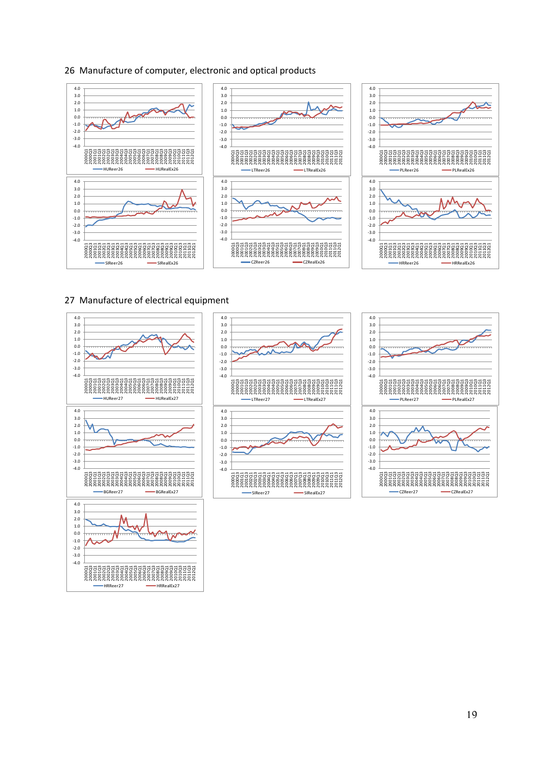#### 26 Manufacture of computer, electronic and optical products



#### 27 Manufacture of electrical equipment